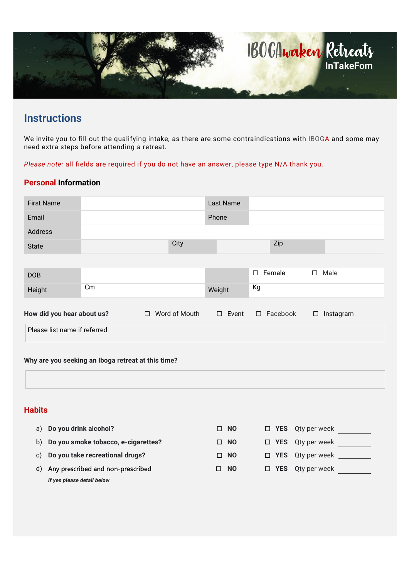

# **Instructions**

We invite you to fill out the qualifying intake, as there are some contraindications with IBOGA and some may need extra steps before attending a retreat.

Please note: all fields are required if you do not have an answer, please type N/A thank you.

#### Personal Information

| <b>First Name</b>            |              |                                   | Last Name |                  |                     |
|------------------------------|--------------|-----------------------------------|-----------|------------------|---------------------|
| Email                        |              |                                   | Phone     |                  |                     |
| Address                      |              |                                   |           |                  |                     |
| <b>State</b>                 |              | City                              |           | Zip              |                     |
|                              |              |                                   |           |                  |                     |
| <b>DOB</b>                   |              |                                   |           | $\square$ Female | Male<br>$\Box$      |
| Height                       | $\,$ Cm $\,$ |                                   | Weight    | Кg               |                     |
| How did you hear about us?   |              | $\Box$ Word of Mouth $\Box$ Event |           | $\Box$ Facebook  | Instagram<br>$\Box$ |
| Please list name if referred |              |                                   |           |                  |                     |

Why are you seeking an Iboga retreat at this time?

### **Habits**

|    | a) Do you drink alcohol?               | $\Box$ NO | $\Box$ YES Qty per week |
|----|----------------------------------------|-----------|-------------------------|
|    | b) Do you smoke tobacco, e-cigarettes? | $\Box$ NO | $\Box$ YES Qty per week |
|    | c) Do you take recreational drugs?     | $\Box$ NO | $\Box$ YES Qty per week |
| d) | Any prescribed and non-prescribed      | $\Box$ NO | $\Box$ YES Qty per week |
|    | If yes please detail below             |           |                         |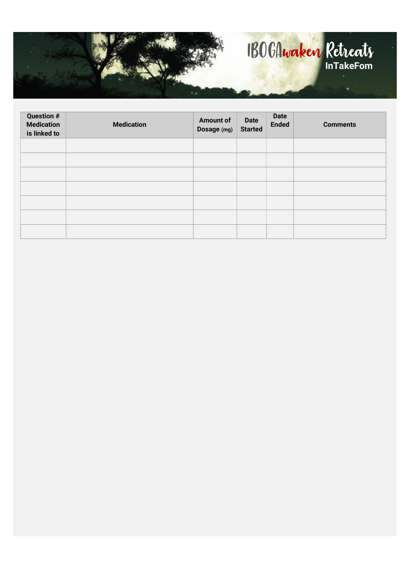

| <b>Question #</b><br><b>Medication</b><br>is linked to | <b>Medication</b> | <b>Amount of</b><br>Dosage (mg) | <b>Date</b><br><b>Started</b> | <b>Date</b><br><b>Ended</b> | <b>Comments</b> |
|--------------------------------------------------------|-------------------|---------------------------------|-------------------------------|-----------------------------|-----------------|
|                                                        |                   |                                 |                               |                             |                 |
|                                                        |                   |                                 |                               |                             |                 |
|                                                        |                   |                                 |                               |                             |                 |
|                                                        |                   |                                 |                               |                             |                 |
|                                                        |                   |                                 |                               |                             |                 |
|                                                        |                   |                                 |                               |                             |                 |
|                                                        |                   |                                 |                               |                             |                 |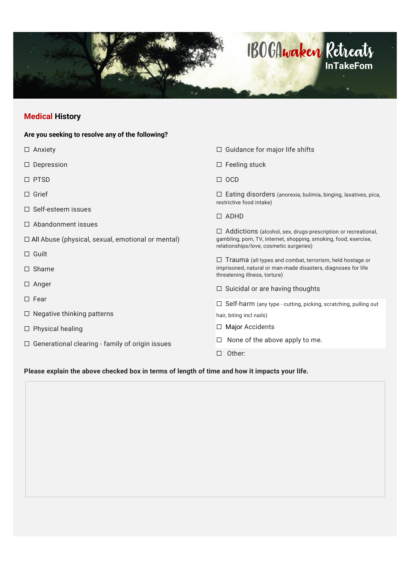

## Medical History

| Are you seeking to resolve any of the following?         |                                                                                                                                                                                     |
|----------------------------------------------------------|-------------------------------------------------------------------------------------------------------------------------------------------------------------------------------------|
| $\Box$ Anxiety                                           | $\Box$ Guidance for major life shifts                                                                                                                                               |
| $\Box$ Depression                                        | $\Box$ Feeling stuck                                                                                                                                                                |
| $\Box$ PTSD                                              | $\Box$ OCD                                                                                                                                                                          |
| $\Box$ Grief                                             | $\Box$ Eating disorders (anorexia, bulimia, binging, laxatives, pica,<br>restrictive food intake)                                                                                   |
| $\Box$ Self-esteem issues                                |                                                                                                                                                                                     |
| $\Box$ Abandonment issues                                | $\Box$ ADHD                                                                                                                                                                         |
| $\Box$ All Abuse (physical, sexual, emotional or mental) | $\Box$ Addictions (alcohol, sex, drugs-prescription or recreational,<br>gambling, porn, TV, internet, shopping, smoking, food, exercise,<br>relationships/love, cosmetic surgeries) |
| $\Box$ Guilt                                             | $\Box$ Trauma (all types and combat, terrorism, held hostage or                                                                                                                     |
| $\Box$ Shame                                             | imprisoned, natural or man-made disasters, diagnoses for life<br>threatening illness, torture)                                                                                      |
| $\Box$ Anger                                             | $\Box$ Suicidal or are having thoughts                                                                                                                                              |
| $\Box$ Fear                                              | □ Self-harm (any type - cutting, picking, scratching, pulling out                                                                                                                   |
| $\Box$ Negative thinking patterns                        | hair, biting incl nails)                                                                                                                                                            |
| $\Box$ Physical healing                                  | $\Box$ Major Accidents                                                                                                                                                              |
| $\Box$ Generational clearing - family of origin issues   | None of the above apply to me.                                                                                                                                                      |
|                                                          | Other:<br>$\Box$                                                                                                                                                                    |
| .                                                        |                                                                                                                                                                                     |

#### Please explain the above checked box in terms of length of time and how it impacts your life.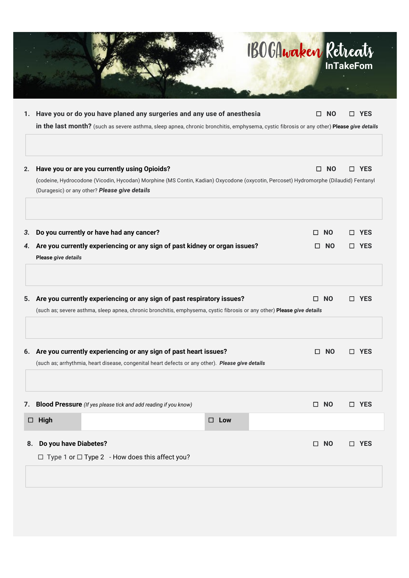|          |                                                                                                                                                                                                                                       | <b>BOGAwaken Retreats</b>   | <b>InTakeFom</b>         |
|----------|---------------------------------------------------------------------------------------------------------------------------------------------------------------------------------------------------------------------------------------|-----------------------------|--------------------------|
| 1.       | Have you or do you have planed any surgeries and any use of anesthesia<br>in the last month? (such as severe asthma, sleep apnea, chronic bronchitis, emphysema, cystic fibrosis or any other) Please give details                    | <b>NO</b>                   | <b>YES</b>               |
| 2.       | Have you or are you currently using Opioids?<br>(codeine, Hydrocodone (Vicodin, Hycodan) Morphine (MS Contin, Kadian) Oxycodone (oxycotin, Percoset) Hydromorphe (Dilaudid) Fentanyl<br>(Duragesic) or any other? Please give details | <b>NO</b><br>П              | <b>YES</b><br>П          |
| 3.<br>4. | Do you currently or have had any cancer?<br>Are you currently experiencing or any sign of past kidney or organ issues?<br>Please give details                                                                                         | <b>NO</b><br>П<br><b>NO</b> | <b>YES</b><br><b>YES</b> |
| 5.       | Are you currently experiencing or any sign of past respiratory issues?<br>(such as; severe asthma, sleep apnea, chronic bronchitis, emphysema, cystic fibrosis or any other) Please give details                                      | <b>NO</b><br>Ш              | YFS                      |
| 6.       | Are you currently experiencing or any sign of past heart issues?<br>(such as; arrhythmia, heart disease, congenital heart defects or any other). Please give details                                                                  | $\square$ NO                | $\Box$ YES               |
| 7.<br>0  | <b>Blood Pressure</b> (If yes please tick and add reading if you know)<br>High<br>$\square$ Low                                                                                                                                       | $\square$ NO                | □ YES                    |
| 8.       | Do you have Diabetes?<br>$\Box$ Type 1 or $\Box$ Type 2 - How does this affect you?                                                                                                                                                   | <b>NO</b><br>0              | □ YES                    |